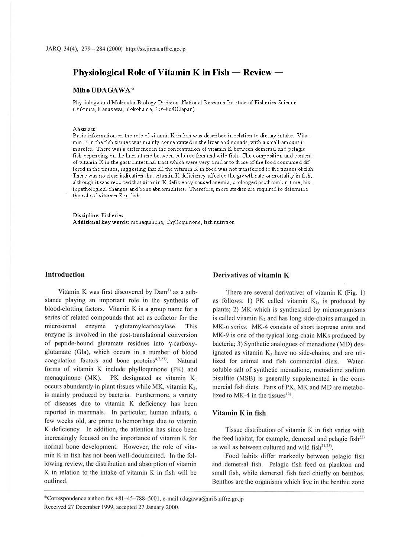# Physiological Role of Vitamin K in Fish - Review -

## **MihoUDAGAWA\***

Physiology and Molecular Biology Division, National Research Institute of Fisheries Science (Fukuura, Kanazawa, Yokohama, 236-8648 Japan)

#### **Abstract**

Basic information on the role of vitamin Kin fish was described in relation to dietary intake. Vitamin Kin the fish tissues was mainly concentrated in the liver and gonads, with a small amount in muscles. There was a difference in the concentration of vitamin K between demersal and pelagic fish depending on the habitat and between cultured fish and wild fish. The composition and content of vitamin Kin the gastrointestinal tract which were very similar to those of the food consumed differed in the tissues, suggesting that all the vitamin K in food was not transferred to the tissues of fish. There was no clear indication that vitamin K deficiency affected the growth rate or mortality in fish, although it was reported that vitamin K deficiency caused anemia, prolonged prothrombin time, histopathological changes and bone abnormalities. Therefore, more studies are required to determine the role of vitamin K in fish.

**Discipline:** Fisheries **Additional keywords:** mcnaquinone, phylloquinone, fish nutrition

#### **Introduction**

Vitamin K was first discovered by Dam<sup>3)</sup> as a substance playing an important role in the synthesis of blood-clotting factors. Vitamin K is a group name for a series of related compounds that act as cofactor for the microsomal enzyme y-glutamylcarboxylase. This enzyme is involved in the post-translational conversion of peptide-bound glutamate residues into y-carboxyglutamate (Gia), which occurs in a number of blood coagulation factors and bone proteins<sup>4,7,</sup> **Natural** forms of vitamin K include phylloquinone (PK) and menaquinone (MK). PK designated as vitamin K, occurs abundantly in plant tissues while MK, vitamin  $K_2$ , is mainly produced by bacteria. Furthermore, a variety of diseases due to vitamin K deficiency has been reported in mammals. In particular, human infants, a few weeks old, are prone to hemorrhage due to vitamin **K** deficiency. In addition, the attention has since been increasingly focused on the importance of vitamin K for normal bone development. However, the role of vitamin K in fish has not been well-documented. In the following review, the distribution and absorption of vitamin K in relation to the intake of vitamin K in fish will be outlined.

#### Derivatives of vitamin K

There are several derivatives of vitamin K (Fig. I) as follows: 1) PK called vitamin  $K_1$ , is produced by plants; 2) MK which is synthesized by microorganisms is called vitamin  $K_2$  and has long side-chains arranged in MK-n series. MK-4 consists of short isoprene units and MK-9 is one of the typical long-chain MKs produced by bacteria; 3) Synthetic analogues of menadione (MD) designated as vitamin  $K_3$  have no side-chains, and are utilized for animal and fish commercial diets. Watersoluble salt of synthetic menadione, menadione sodium bisulfite (MSB) is generally supplemented in the commercial fish diets. Parts of PK, MK and MD are metabolized to  $MK-4$  in the tissues<sup>13)</sup>.

## **Vitamin K in fish**

Tissue distribution of vitamin K in fish varies with the feed habitat, for example, demersal and pelagic fish $^{22}$ ) as well as between cultured and wild  $fish^{21,23)}$ .

Food habits differ markedly between pelagic fish and demersal fish. Pelagic fish feed on plankton and small fish, while dcmersal fish feed chiefly on benthos. Benthos are the organisms which live in the benthic zone

<sup>\*</sup>Correspondence author: fax  $+81-45-788-5001$ , e-mail udagawa@nrifs.affrc.go.jp Received 27 December 1999, accepted 27 January 2000.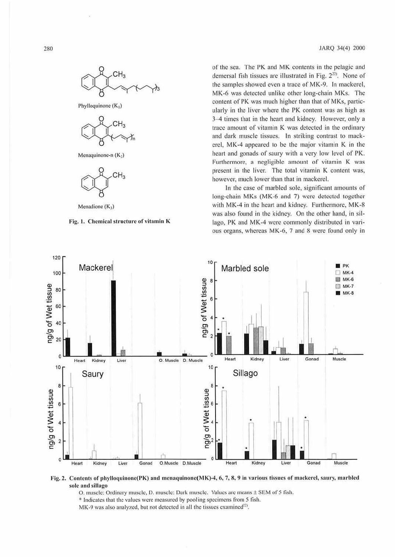

Phylloquinone  $(K_1)$ 



Menaquinone-n  $(K_2)$ 



Menadione  $(K_3)$ 



of the sea. The PK and MK contents in the pelagic and demersal fish tissues are illustrated in Fig.  $2^{22}$ . None of the samples showed even a trace of MK-9. In mackerel, MK-6 was detected unlike other long-chain MKs. The content of PK was much higher than that of MKs, particularly in the liver where the PK content was as high as 3-4 times that in the heart and kidney. However, only a trace amount of vitamin K was detected in the ordinary and dark muscle tissues. In striking contrast to mackerel, MK-4 appeared to be the major vitamin K in the heart and gonads of saury with a very low level of PK. Furthermore, a negligible amount of vitamin K was present in the liver. The total vitamin K content was, however. much lower than that in mackerel.

In the case of marbled sole, significant amounts of long-chain MKs (MK-6 and 7) were detected together with MK-4 in the heart and kidney. Furthermore, MK-8 was also found in the kidney. On the other hand, in sillago, PK and MK-4 were commonly distributed in various organs, whereas MK-6, 7 and 8 were found only in



Fig. 2. Contents of phylloquinone(PK) and menaquinone(MK)-4, 6, 7, 8, 9 in various tissues of mackerel, saury, marbled sole and sillago

0 . muscle: Ordinary muscle, I). muscle: Dark muscle. Values arc means ± SEM of *5* fish. • Indicates that the values were measured by pooling specimens from *5* fish.

MK-9 was also analyzed, but not detected in all the tissues examined<sup>22)</sup>.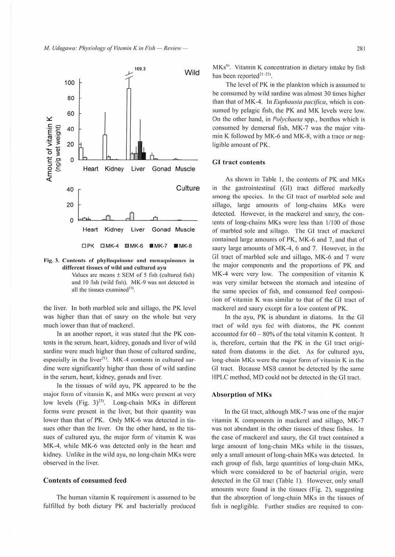

Fig. 3. Contents of phylloquinone and menaquinones in different tissues of wild and cultured ayu

Values are means  $\pm$  SEM of 5 fish (cultured fish) and 10 fish (wild fish). MK-9 was not detected in all the tissues examined<sup>23)</sup>.

the liver. In both marbled sole and sillago, the PK level was higher than that of saury on the whole but very much lower than that of mackerel.

In an another report, it was stated that the PK contents in the scrum, heart, kidney, gonads and liver of wild sardine were much higher than those of cultured sardine, especially in the liver<sup>21)</sup>. MK-4 contents in cultured sardine were significantly higher than those of wild sardine in the serum, heart, kidney, gonads and liver.

In the tissues of wild ayu, PK appeared to be the major form of vitamin K, and MKs were present at very low levels (Fig.  $3)^{23}$ ). Long-chain MKs in different forms were present in the liver, but their quantity was lower than that of PK. Only MK-6 was detected in tissues other than the liver. On the other hand, in the tissues of cultured ayu, the major form of vitamin K was MK-4, while MK-6 was detected only in the heart and kidney. Unlike in the wild ayu, no long-chain MKs were observed in the liver.

## **Contents of consumed feed**

The human vitamin K requirement is assumed to be fulfilled by both dietary PK and bacterially produced

 $MKs<sup>8</sup>$ . Vitamin K concentration in dietary intake by fish has been reported<sup>21-23)</sup>.

The level of PK in the plankton which is assumed to be consumed by wild sardine was almost 30 times higher than that of MK-4. In *Euphausia pacifica*, which is consumed by pelagic fish, the PK and MK levels were low. On the other hand, in *Polychaeta* spp., benthos which is consumed by dcmersal fish, MK-7 was the major vitamin K followed by MK-6 and MK-8, with a trace or negligible amount of *PK.* 

## GI tract contents

As shown in Table 1, the contents of PK and MKs in the gastrointestinal (GI) tract differed markedly among the species. In the GI tract of marbled sole and sillago, large amounts of long-chains MKs were detected. However, in the mackerel and saury, the contents of long-chains MKs were less than 1/100 of those of marbled sole and sillago. The GI tract of mackerel contained large amounts or PK, MK-6 and 7, and that of saury large amounts of MK-4, 6 and 7. However, in the Gl tract of marbled sole and sillago, MK-6 and 7 were the major components and the proportions of PK and MK-4 were very low. The composition of vitamin K was very similar between the stomach and intestine of the same species of fish, and consumed feed composition of vitamin K was similar to that of the GI tract of mackerel and saury except for a low content of PK.

In the ayu, PK is abundant in diatoms. In the GI tract of wild ayu fed with diatoms, the PK content accounted for 60 - 80% of the total vitamin K content. It is, therefore, certain that the PK in the GI tract originated from diatoms in the diet. As for cultured ayu, long-chain MKs were the major form of vitamin K in the GI tract. Because MSB cannot be detected by the same HPLC method, MD could not be detected in the GI tract.

#### Absorption of MKs

In the GI tract, although MK-7 was one of the major vitamin K components in mackerel and sillago, MK-7 was not abundant in the other tissues of these fishes. In the case of mackerel and saury, the GI tract contained a large amount of long-chain MKs while in the tissues, only a small amount of long-chain MKs was detected. ln each group of fish, large quantities of long-chain MKs, which were considered to be of bacterial origin, were detected in the GI tract (Table I). However, only small amounts were found in the tissues (Fig. 2), suggesting that the absorption of long-chain MKs in the tissues of fish is negligible. Further studies are required to con-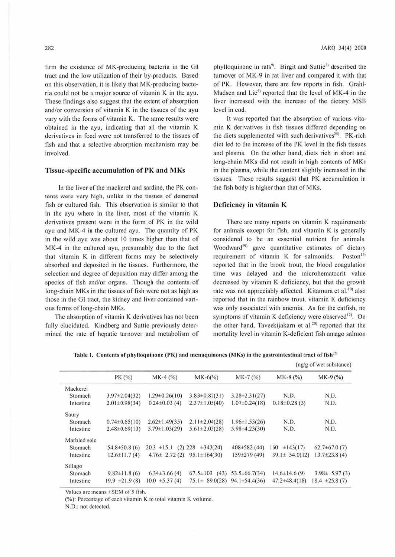firm the existence of MK-producing bacteria in the GI tract and the low utilization of their by-products. Based on this observation, it is likely that MK-producing bacte $ria$  could not be a major source of vitamin  $K$  in the ayu. These findings also suggest that the extent of absorption and/or conversion of vitamin K in the tissues of the ayu vary with the forms of vitamin K. The same results were obtained in the ayu, indicating that all the vitamin  $K$ derivatives in food were not transferred to the tissues **of**  fish and that a selective absorption mechanism may be involved.

## **Tissue-specific accumulation of PK and MKs**

In the liver of the mackerel and sardine, the PK contents were very high, unlike in the tissues of demersal fish or cultured fish. This observation is similar to that in the ayu where in the liver, most of the vitamin K derivatives present were in the form of PK in the wild ayu and MK-4 in the cultured ayu. The quantity of PK in the wild ayu was about 10 times higher than that of MK-4 in the cultured ayu, presumably due to the fact that vitamin K in different forms may be selectively absorbed and deposited in the tissues. Furthermore, the selection and degree of deposition may differ among the species of fish and/or organs. Though the contents of long-chain MKs in the tissues of fish were not as high as those in the GI tract, the kidney and liver contained various forms of long-chain MKs.

The absorption of vitamin K derivatives has not been fully elucidated. Kindberg and Suttie previously determined the rate of hepatic turnover and metabolism of

phylloquinone in rats<sup>9</sup>. Birgit and Suttie<sup>2)</sup> described the turnover of MK-9 in rat liver and compared it with that of PK. However, there are few reports in fish. Grahl-Madsen and Lie<sup>5)</sup> reported that the level of MK-4 in the liver increased with the increase of the dietary MSB level in cod.

It was reported that the absorption of various vitamin K derivatives in fish tissues differed depending on the diets supplemented with such derivatives<sup>25)</sup>. PK-rich diet led to the increase of the PK level in the fish tissues and plasma. On the other hand, diets rich in short and long-chain MKs did not result in high contents of MKs in the plasma, while the content slightly increased in the tissues. These results suggest that PK accumulation in the fish body is higher than that of MKs.

## **Deficiency in vitamin K**

There arc many reports on vitamin K requirements for animals except for fish, and vitamin  $K$  is generally considered to be an essential nutrient for animals. Woodward<sup>29</sup> gave quantitative estimates of dietary requirement of vitamin K for salmonids. Poston<sup>15)</sup> reported that in the brook trout, the blood coagulation time was delayed and the microhematocrit value decreased by vitamin K deficiency, but that the growth rate was not appreciably affected. Kitamura et al.<sup>10</sup> also reported that in the rainbow trout, vitamin K deficiency was only associated with anemia. As for the catfish, no symptoms of vitamin K deficiency were observed<sup>12)</sup>. On the other hand, Taveekijakarn et al.<sup>20)</sup> reported that the mortality level in vitamin K-deficient fish amago salmon

|  |  | Table 1. Contents of phylloquinone (PK) and menaquinones (MKs) in the gastrointestinal tract of fish <sup>22)</sup> |
|--|--|---------------------------------------------------------------------------------------------------------------------|
|  |  |                                                                                                                     |

|              |                     |                     |                                         |                      | (ng/g of wet substance) |                     |
|--------------|---------------------|---------------------|-----------------------------------------|----------------------|-------------------------|---------------------|
|              | PK (%)              | $MK-4 (%)$          | $MK-6(%)$                               | $MK-7(%)$            | $MK-8(%)$               | $MK-9(%)$           |
| Mackerel     |                     |                     |                                         |                      |                         |                     |
| Stomach      | $3.97 \pm 2.04(32)$ | $1.29 \pm 0.26(10)$ | $3.83\pm0.87(31)$                       | $3.28 \pm 2.31(27)$  | N.D.                    | N.D.                |
| Intestine    | $2.01 \pm 0.98(34)$ | $0.24 \pm 0.03$ (4) | $2.37 \pm 1.05(40)$                     | $1.07 \pm 0.24(18)$  | $0.18\pm0.28(3)$        | N.D.                |
| Saury        |                     |                     |                                         |                      |                         |                     |
| Stomach      | $0.74 \pm 0.65(10)$ | $2.62 \pm 1.49(35)$ | $2.11 \pm 2.04(28)$                     | $1.96 \pm 1.53(26)$  | N.D.                    | N.D.                |
| Intestine    | $2.48\pm0.69(13)$   | $5.79 \pm 1.03(29)$ | $5.61 \pm 2.05(28)$                     | 5.98±4.23(30)        | N.D.                    | N.D.                |
| Marbled sole |                     |                     |                                         |                      |                         |                     |
| Stomach      | $54.8 \pm 50.8$ (6) | $20.3 \pm 15.1$     | $(2)$ 228<br>$\pm 343(24)$              | $408 \pm 582$ (44)   | $\pm 143(17)$<br>160    | $62.7\pm 67.0(7)$   |
| Intestine    | $12.6 \pm 11.7(4)$  | $4.76 \pm 2.72(2)$  | $95.1 \pm 164(30)$                      | $159 \pm 279$ (49)   | $39.1 \pm 54.0(12)$     | $13.7 \pm 23.8$ (4) |
| Sillago      |                     |                     |                                         |                      |                         |                     |
| Stomach      | $9.82 \pm 11.8$ (6) | $6.34\pm3.66(4)$    | $67.5 \pm 103$                          | $(43)$ 53.5±66.7(34) | $14.6 \pm 14.6(9)$      | $3.98 \pm 5.97(3)$  |
| Intestine    | $19.9 \pm 21.9(8)$  | $10.0 \pm 5.37(4)$  | $75.1 \pm 89.0(28)$ 94.1 $\pm$ 54.4(36) |                      | $47.2 \pm 48.4(18)$     | $18.4 \pm 25.8(7)$  |

Values are means ±SEM of 5 fish.

(%): Percentage of each vitamin K to total vitamin K volume.

N.D.: not detected.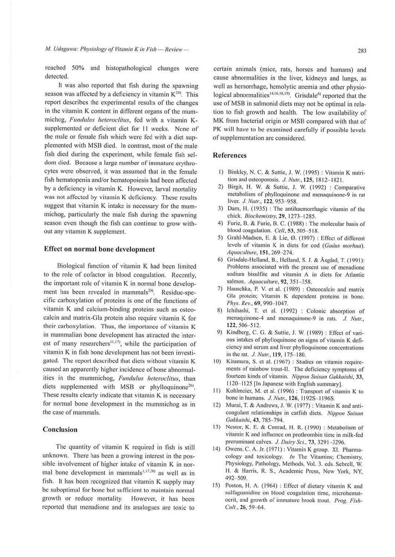reached 50% and histopathological changes were detected.

It was also reported that fish during the spawning season was affected by a deficiency in vitamin  $K<sup>24</sup>$ . This report describes the experimental results of the changes in the vitamin K content in different organs of the mummichog, Fundulus heteroclitus, fed with a vitamin Ksupplemented or deficient diet for 11 weeks. None of the male or female fish which were fed with a diet supplemented with MSB died. ln contrast, most of the male fish died during the experiment, while female fish seldom died. Because a large number of immature erythrocytes were observed, it was assumed that in the female fish hematopenia and/or hematopoiesis had been affected by a deficiency in vitamin K. However, larval mortality was not affected by vitamin K deficiency. These results suggest that vitamin K intake is necessary for the mummichog, particularly the male fish during the spawning season even though the fish can continue to grow without any vitamin K supplement.

#### **Effect on normal bone development**

Biological function of vitamin K had been limited to the role of cofactor in blood coagulation. Recently, the important role of vitamin  $K$  in normal bone development has been revealed in mammals<sup>28)</sup>. Residue-specific carboxylation of proteins is one of the functions of vitamin K and calcium-binding proteins such as osteocalcin and matrix-Gia protein also require vitamin **K** for their carboxylation. Thus, the importance of vitamin K in mammalian bone development has attracted the interest of many researchers<sup>11,17</sup>, while the participation of vitamin K in fish bone development has not been investigated. The report described that diets without vitamin K caused an apparently higher incidence of bone abnormalities in the mummichog, *Fundulus heteroclitus*, than diets supplemented with MSB or phylloquinone<sup>26)</sup>. These results clearly indicate that vitamin K is necessary for normal bone development in the mummichog as in the case of mammals.

#### **Conclusion**

The quantity of vilamin **K** required in fish is still unknown. There has been a growing interest in the possible involvement of higher intake of vitamin **K** in normal bone development in mammals<sup>1,17,28</sup> as well as in fish. It has been recognized that vitamin K supply may be suboptimal for bone but sufficient to maintain normal growth or reduce mortality. However, it has been reported that mcnadione and its analogues are toxic lo

certain animals (mice, rats, horses and humans) and cause abnormalities in the liver, kidneys and lungs, as well as hemorrhage, hemolytic anemia and other physiological abnormalities<sup>14,16,18,19</sup>). Grisdale<sup>6)</sup> reported that the use of MSB in salmonid diets may not be optimal in relation to fish growth and health. The low availability of MK from bacterial origin or MSB compared with that of PK will have to be examined carefully if possible levels of supplementation are considered.

## **References**

- t) Binkley, N. C. & Suttie, J. W. (1995): Vitamin K nutrition and osteoporosis. *J. N1111:,* **125,** 1812- 182 I.
- 2) Birgil, H. W. & Suttie, J. W. (1992) : Comparative metabolism of phylloquinonc and mcnaquinone-9 in rat liver. *J. Nutr.*, 122, 953-958.
- 3) Dam, H. (1935) : The antihacmorrhagic vitamin of the chick. Biochemistry, 29, 1273-1285.
- 4) Furie, B. & Furie, B. C. (1988): The molecular basis of blood coagulation. *Cell,* 53, *505- 5* I 8.
- 5) Grahl-Madsen, E. & Lie, 0. (1997) : Effect of different levels of vitamin K in diets for cod *(Gadus morhun). Aquaculture*, **151**, 269-274.
- 6) Grisdale-Hclland. B., Helland, S. J. & Asgard, T. (199 1): Problems associated with the present use of menadione sodium bisulfite and vitamin A in diets for Atlantic salmon. *Aquaculture*, 92, 351-358.
- 7) Hauschka, P. V. et al. (1989) : Osteocalcin and matrix Gia protein; Vitamin K dependent proteins in bone. *Phys. Rev.*, 69, 990-1047.
- 8) lchihashi, T. ct al. ( 1992) : Colonic absorption of menaquinone-4 and menaquinone-9 in rats. *J. Nutr.*, 122, 506-512.
- 9) Kindberg, C. G. & Sutlie, J. W. (1989) : Effect of various intakes of phylloquinonc on signs of vitamin K deficiency and serum and liver phylloquinone concentrations in the rat. *J. Nutr.*, **119**, **175-180**.
- 10) Kitamura, S. et al. (1967) : Studies on vitamin requirements of rainbow trout-II. The deficiency symptoms of fourteen kinds of vitamin. *Nippon Suisan Gakkaishi*, 33, 1120-1125 [In Japanese with English summary].
- l I) Kohlmeier, M. et al. ( 1996) : Transport of vitamin K to bone in humans. *J. Nutr.*, 126, 1192S-1196S.
- 12) Murai, T. & Andrews, J. W. ( 1977) : Vitamin K and anticoagulant relationships in catfish diets. *Nippon Suisan Gakkaishi,* 43, 785- 794.
- 13) Nestor, K. E. & Conrad, H. R. (1990) : Metabolism of vitamin K and influence on prothrombin time in milk-fed preruminant calves. *J. Dairy Sci.*, 73, 3291-3296.
- 14) Owens, C. A. Jr. (1971) : Vitamin K group. XI. Pharmacology and toxicology.  $In$  The Vitamins; Chemistry, Physiology, Pathology. Methods, Vol. 3. eds. Scbrcll, W. H. & Harris, R. S., Academic Press, New York, NY, 492- 509.
- 15) Poston, H. A. (1964) : Effect of dietary vitamin K and sulfaguanidine on blood coagulation time, microhematocrit, and growth of immature brook trout. *Prog. Fis!t-Cult.,* **26,** 59- 64.